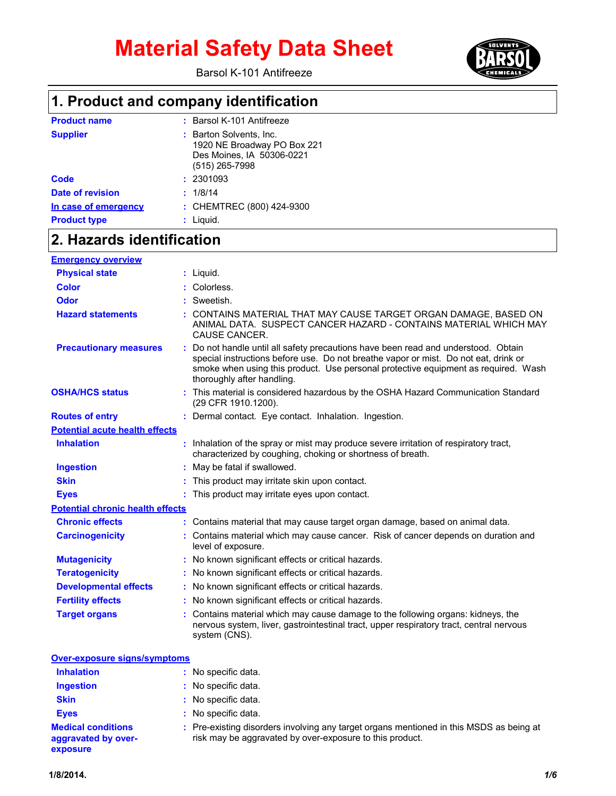Barsol K-101 Antifreeze



## **1. Product and company identification**

| <b>Product name</b>     | : Barsol K-101 Antifreeze                                                                               |
|-------------------------|---------------------------------------------------------------------------------------------------------|
| <b>Supplier</b>         | : Barton Solvents, Inc.<br>1920 NE Broadway PO Box 221<br>Des Moines, IA 50306-0221<br>$(515)$ 265-7998 |
| Code                    | : 2301093                                                                                               |
| <b>Date of revision</b> | : 1/8/14                                                                                                |
| In case of emergency    | : CHEMTREC (800) 424-9300                                                                               |
| <b>Product type</b>     | $:$ Liquid.                                                                                             |

## **2. Hazards identification**

| <b>Emergency overview</b>               |                                                                                                                                                                                                                                                                                               |
|-----------------------------------------|-----------------------------------------------------------------------------------------------------------------------------------------------------------------------------------------------------------------------------------------------------------------------------------------------|
| <b>Physical state</b>                   | $:$ Liquid.                                                                                                                                                                                                                                                                                   |
| <b>Color</b>                            | Colorless.                                                                                                                                                                                                                                                                                    |
| <b>Odor</b>                             | : Sweetish.                                                                                                                                                                                                                                                                                   |
| <b>Hazard statements</b>                | CONTAINS MATERIAL THAT MAY CAUSE TARGET ORGAN DAMAGE, BASED ON<br>ANIMAL DATA. SUSPECT CANCER HAZARD - CONTAINS MATERIAL WHICH MAY<br>CAUSE CANCER.                                                                                                                                           |
| <b>Precautionary measures</b>           | : Do not handle until all safety precautions have been read and understood. Obtain<br>special instructions before use. Do not breathe vapor or mist. Do not eat, drink or<br>smoke when using this product. Use personal protective equipment as required. Wash<br>thoroughly after handling. |
| <b>OSHA/HCS status</b>                  | : This material is considered hazardous by the OSHA Hazard Communication Standard<br>(29 CFR 1910.1200).                                                                                                                                                                                      |
| <b>Routes of entry</b>                  | : Dermal contact. Eye contact. Inhalation. Ingestion.                                                                                                                                                                                                                                         |
| <b>Potential acute health effects</b>   |                                                                                                                                                                                                                                                                                               |
| <b>Inhalation</b>                       | : Inhalation of the spray or mist may produce severe irritation of respiratory tract,<br>characterized by coughing, choking or shortness of breath.                                                                                                                                           |
| <b>Ingestion</b>                        | : May be fatal if swallowed.                                                                                                                                                                                                                                                                  |
| <b>Skin</b>                             | This product may irritate skin upon contact.                                                                                                                                                                                                                                                  |
| <b>Eyes</b>                             | This product may irritate eyes upon contact.                                                                                                                                                                                                                                                  |
| <b>Potential chronic health effects</b> |                                                                                                                                                                                                                                                                                               |
| <b>Chronic effects</b>                  | : Contains material that may cause target organ damage, based on animal data.                                                                                                                                                                                                                 |
| <b>Carcinogenicity</b>                  | : Contains material which may cause cancer. Risk of cancer depends on duration and<br>level of exposure.                                                                                                                                                                                      |
| <b>Mutagenicity</b>                     | : No known significant effects or critical hazards.                                                                                                                                                                                                                                           |
| <b>Teratogenicity</b>                   | : No known significant effects or critical hazards.                                                                                                                                                                                                                                           |
| <b>Developmental effects</b>            | : No known significant effects or critical hazards.                                                                                                                                                                                                                                           |
| <b>Fertility effects</b>                | : No known significant effects or critical hazards.                                                                                                                                                                                                                                           |
| <b>Target organs</b>                    | : Contains material which may cause damage to the following organs: kidneys, the<br>nervous system, liver, gastrointestinal tract, upper respiratory tract, central nervous<br>system (CNS).                                                                                                  |

| Over-exposure signs/symptoms                                 |                                                                                                                                                     |
|--------------------------------------------------------------|-----------------------------------------------------------------------------------------------------------------------------------------------------|
| <b>Inhalation</b>                                            | : No specific data.                                                                                                                                 |
| <b>Ingestion</b>                                             | : No specific data.                                                                                                                                 |
| <b>Skin</b>                                                  | : No specific data.                                                                                                                                 |
| <b>Eyes</b>                                                  | : No specific data.                                                                                                                                 |
| <b>Medical conditions</b><br>aggravated by over-<br>exposure | : Pre-existing disorders involving any target organs mentioned in this MSDS as being at<br>risk may be aggravated by over-exposure to this product. |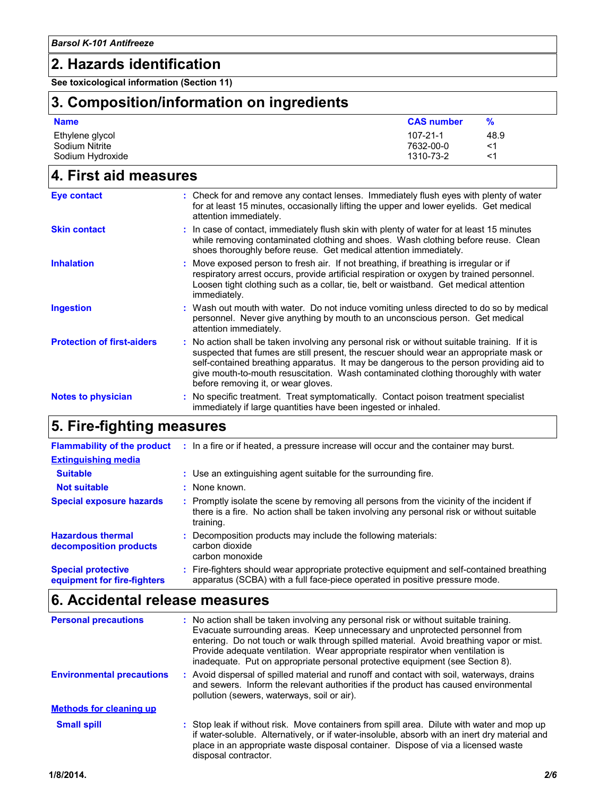### **2. Hazards identification**

**See toxicological information (Section 11)**

# **3. Composition/information on ingredients**

| <b>Name</b>                       | <b>CAS number</b>           | ℅          |
|-----------------------------------|-----------------------------|------------|
| Ethylene glycol<br>Sodium Nitrite | $107 - 21 - 1$<br>7632-00-0 | 48.9<br><1 |
| Sodium Hydroxide                  | 1310-73-2                   | <1         |

## **4. First aid measures**

| Eye contact                       | : Check for and remove any contact lenses. Immediately flush eyes with plenty of water<br>for at least 15 minutes, occasionally lifting the upper and lower eyelids. Get medical<br>attention immediately.                                                                                                                                                                                                      |  |
|-----------------------------------|-----------------------------------------------------------------------------------------------------------------------------------------------------------------------------------------------------------------------------------------------------------------------------------------------------------------------------------------------------------------------------------------------------------------|--|
| <b>Skin contact</b>               | : In case of contact, immediately flush skin with plenty of water for at least 15 minutes<br>while removing contaminated clothing and shoes. Wash clothing before reuse. Clean<br>shoes thoroughly before reuse. Get medical attention immediately.                                                                                                                                                             |  |
| <b>Inhalation</b>                 | : Move exposed person to fresh air. If not breathing, if breathing is irregular or if<br>respiratory arrest occurs, provide artificial respiration or oxygen by trained personnel.<br>Loosen tight clothing such as a collar, tie, belt or waistband. Get medical attention<br>immediately.                                                                                                                     |  |
| <b>Ingestion</b>                  | : Wash out mouth with water. Do not induce vomiting unless directed to do so by medical<br>personnel. Never give anything by mouth to an unconscious person. Get medical<br>attention immediately.                                                                                                                                                                                                              |  |
| <b>Protection of first-aiders</b> | : No action shall be taken involving any personal risk or without suitable training. If it is<br>suspected that fumes are still present, the rescuer should wear an appropriate mask or<br>self-contained breathing apparatus. It may be dangerous to the person providing aid to<br>give mouth-to-mouth resuscitation. Wash contaminated clothing thoroughly with water<br>before removing it, or wear gloves. |  |
| <b>Notes to physician</b>         | : No specific treatment. Treat symptomatically. Contact poison treatment specialist<br>immediately if large quantities have been ingested or inhaled.                                                                                                                                                                                                                                                           |  |

### **5. Fire-fighting measures**

| <b>Flammability of the product</b>                       | : In a fire or if heated, a pressure increase will occur and the container may burst.                                                                                                               |
|----------------------------------------------------------|-----------------------------------------------------------------------------------------------------------------------------------------------------------------------------------------------------|
| <b>Extinguishing media</b>                               |                                                                                                                                                                                                     |
| <b>Suitable</b>                                          | : Use an extinguishing agent suitable for the surrounding fire.                                                                                                                                     |
| <b>Not suitable</b>                                      | : None known.                                                                                                                                                                                       |
| <b>Special exposure hazards</b>                          | : Promptly isolate the scene by removing all persons from the vicinity of the incident if<br>there is a fire. No action shall be taken involving any personal risk or without suitable<br>training. |
| <b>Hazardous thermal</b><br>decomposition products       | Decomposition products may include the following materials:<br>carbon dioxide<br>carbon monoxide                                                                                                    |
| <b>Special protective</b><br>equipment for fire-fighters | : Fire-fighters should wear appropriate protective equipment and self-contained breathing<br>apparatus (SCBA) with a full face-piece operated in positive pressure mode.                            |

# **6. Accidental release measures**

| <b>Personal precautions</b>      | : No action shall be taken involving any personal risk or without suitable training.<br>Evacuate surrounding areas. Keep unnecessary and unprotected personnel from<br>entering. Do not touch or walk through spilled material. Avoid breathing vapor or mist.<br>Provide adequate ventilation. Wear appropriate respirator when ventilation is<br>inadequate. Put on appropriate personal protective equipment (see Section 8). |
|----------------------------------|----------------------------------------------------------------------------------------------------------------------------------------------------------------------------------------------------------------------------------------------------------------------------------------------------------------------------------------------------------------------------------------------------------------------------------|
| <b>Environmental precautions</b> | : Avoid dispersal of spilled material and runoff and contact with soil, waterways, drains<br>and sewers. Inform the relevant authorities if the product has caused environmental<br>pollution (sewers, waterways, soil or air).                                                                                                                                                                                                  |
| <b>Methods for cleaning up</b>   |                                                                                                                                                                                                                                                                                                                                                                                                                                  |
| <b>Small spill</b>               | : Stop leak if without risk. Move containers from spill area. Dilute with water and mop up<br>if water-soluble. Alternatively, or if water-insoluble, absorb with an inert dry material and<br>place in an appropriate waste disposal container. Dispose of via a licensed waste<br>disposal contractor.                                                                                                                         |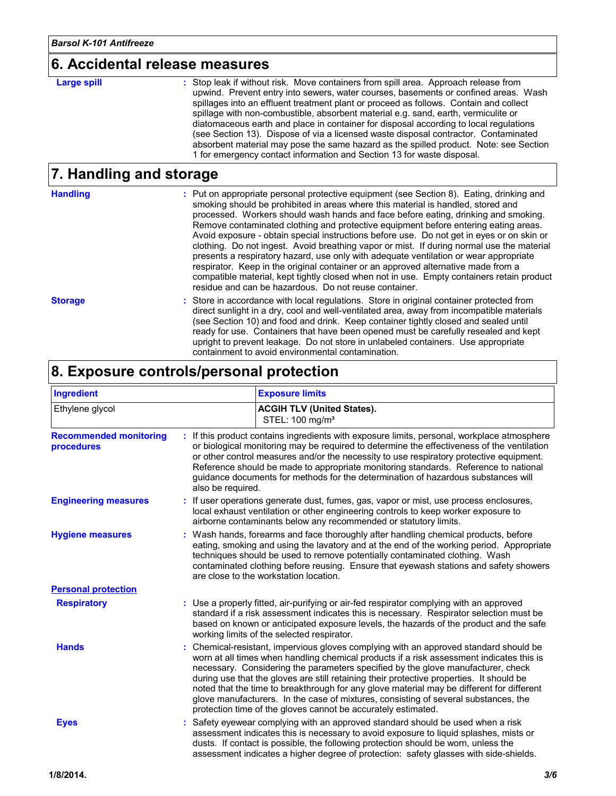#### **6. Accidental release measures**

#### **Large spill :**

: Stop leak if without risk. Move containers from spill area. Approach release from upwind. Prevent entry into sewers, water courses, basements or confined areas. Wash spillages into an effluent treatment plant or proceed as follows. Contain and collect spillage with non-combustible, absorbent material e.g. sand, earth, vermiculite or diatomaceous earth and place in container for disposal according to local regulations (see Section 13). Dispose of via a licensed waste disposal contractor. Contaminated absorbent material may pose the same hazard as the spilled product. Note: see Section 1 for emergency contact information and Section 13 for waste disposal.

#### **7. Handling and storage**

| <b>Handling</b> | : Put on appropriate personal protective equipment (see Section 8). Eating, drinking and<br>smoking should be prohibited in areas where this material is handled, stored and<br>processed. Workers should wash hands and face before eating, drinking and smoking.<br>Remove contaminated clothing and protective equipment before entering eating areas.<br>Avoid exposure - obtain special instructions before use. Do not get in eyes or on skin or<br>clothing. Do not ingest. Avoid breathing vapor or mist. If during normal use the material<br>presents a respiratory hazard, use only with adequate ventilation or wear appropriate<br>respirator. Keep in the original container or an approved alternative made from a<br>compatible material, kept tightly closed when not in use. Empty containers retain product<br>residue and can be hazardous. Do not reuse container. |
|-----------------|-----------------------------------------------------------------------------------------------------------------------------------------------------------------------------------------------------------------------------------------------------------------------------------------------------------------------------------------------------------------------------------------------------------------------------------------------------------------------------------------------------------------------------------------------------------------------------------------------------------------------------------------------------------------------------------------------------------------------------------------------------------------------------------------------------------------------------------------------------------------------------------------|
| <b>Storage</b>  | : Store in accordance with local regulations. Store in original container protected from<br>direct sunlight in a dry, cool and well-ventilated area, away from incompatible materials<br>(see Section 10) and food and drink. Keep container tightly closed and sealed until<br>ready for use. Containers that have been opened must be carefully resealed and kept<br>upright to prevent leakage. Do not store in unlabeled containers. Use appropriate<br>containment to avoid environmental contamination.                                                                                                                                                                                                                                                                                                                                                                           |

### **8. Exposure controls/personal protection**

| Ingredient                                         |                   | <b>Exposure limits</b>                                                                                                                                                                                                                                                                                                                                                                                                                                                                                                                                                                                               |
|----------------------------------------------------|-------------------|----------------------------------------------------------------------------------------------------------------------------------------------------------------------------------------------------------------------------------------------------------------------------------------------------------------------------------------------------------------------------------------------------------------------------------------------------------------------------------------------------------------------------------------------------------------------------------------------------------------------|
| Ethylene glycol                                    |                   | <b>ACGIH TLV (United States).</b><br>STEL: 100 mg/m <sup>3</sup>                                                                                                                                                                                                                                                                                                                                                                                                                                                                                                                                                     |
| <b>Recommended monitoring</b><br><b>procedures</b> | also be required. | : If this product contains ingredients with exposure limits, personal, workplace atmosphere<br>or biological monitoring may be required to determine the effectiveness of the ventilation<br>or other control measures and/or the necessity to use respiratory protective equipment.<br>Reference should be made to appropriate monitoring standards. Reference to national<br>guidance documents for methods for the determination of hazardous substances will                                                                                                                                                     |
| <b>Engineering measures</b>                        |                   | If user operations generate dust, fumes, gas, vapor or mist, use process enclosures,<br>local exhaust ventilation or other engineering controls to keep worker exposure to<br>airborne contaminants below any recommended or statutory limits.                                                                                                                                                                                                                                                                                                                                                                       |
| <b>Hygiene measures</b>                            |                   | : Wash hands, forearms and face thoroughly after handling chemical products, before<br>eating, smoking and using the lavatory and at the end of the working period. Appropriate<br>techniques should be used to remove potentially contaminated clothing. Wash<br>contaminated clothing before reusing. Ensure that eyewash stations and safety showers<br>are close to the workstation location.                                                                                                                                                                                                                    |
| <b>Personal protection</b>                         |                   |                                                                                                                                                                                                                                                                                                                                                                                                                                                                                                                                                                                                                      |
| <b>Respiratory</b>                                 |                   | : Use a properly fitted, air-purifying or air-fed respirator complying with an approved<br>standard if a risk assessment indicates this is necessary. Respirator selection must be<br>based on known or anticipated exposure levels, the hazards of the product and the safe<br>working limits of the selected respirator.                                                                                                                                                                                                                                                                                           |
| <b>Hands</b>                                       |                   | Chemical-resistant, impervious gloves complying with an approved standard should be<br>worn at all times when handling chemical products if a risk assessment indicates this is<br>necessary. Considering the parameters specified by the glove manufacturer, check<br>during use that the gloves are still retaining their protective properties. It should be<br>noted that the time to breakthrough for any glove material may be different for different<br>glove manufacturers. In the case of mixtures, consisting of several substances, the<br>protection time of the gloves cannot be accurately estimated. |
| <b>Eyes</b>                                        |                   | Safety eyewear complying with an approved standard should be used when a risk<br>assessment indicates this is necessary to avoid exposure to liquid splashes, mists or<br>dusts. If contact is possible, the following protection should be worn, unless the<br>assessment indicates a higher degree of protection: safety glasses with side-shields.                                                                                                                                                                                                                                                                |
| 1/8/2014.                                          |                   | 3/6                                                                                                                                                                                                                                                                                                                                                                                                                                                                                                                                                                                                                  |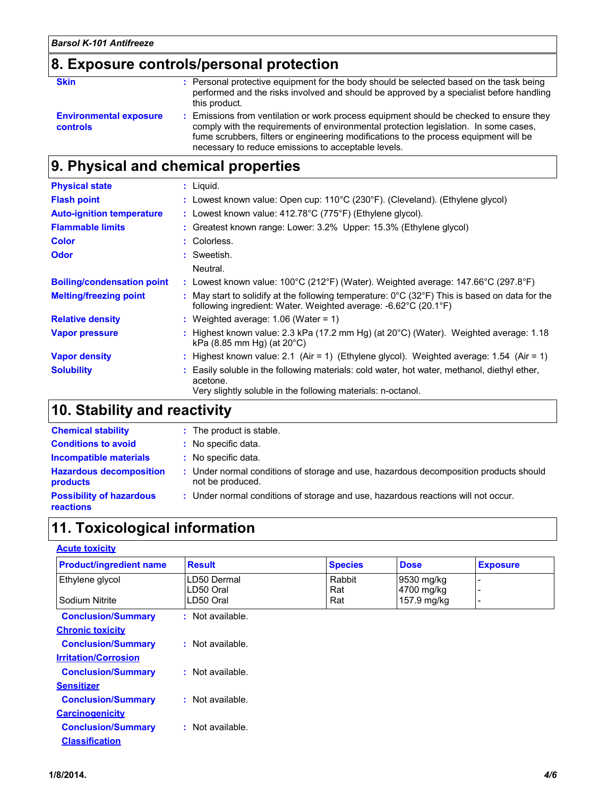# **8. Exposure controls/personal protection**

| <b>Skin</b>                                      | : Personal protective equipment for the body should be selected based on the task being<br>performed and the risks involved and should be approved by a specialist before handling<br>this product.                                                                                                                             |
|--------------------------------------------------|---------------------------------------------------------------------------------------------------------------------------------------------------------------------------------------------------------------------------------------------------------------------------------------------------------------------------------|
| <b>Environmental exposure</b><br><b>controls</b> | : Emissions from ventilation or work process equipment should be checked to ensure they<br>comply with the requirements of environmental protection legislation. In some cases,<br>fume scrubbers, filters or engineering modifications to the process equipment will be<br>necessary to reduce emissions to acceptable levels. |

## **9. Physical and chemical properties**

| <b>Physical state</b>             | : Liquid.                                                                                                                                                                              |
|-----------------------------------|----------------------------------------------------------------------------------------------------------------------------------------------------------------------------------------|
| <b>Flash point</b>                | : Lowest known value: Open cup: 110°C (230°F). (Cleveland). (Ethylene glycol)                                                                                                          |
| <b>Auto-ignition temperature</b>  | : Lowest known value: $412.78^{\circ}$ C (775°F) (Ethylene glycol).                                                                                                                    |
| <b>Flammable limits</b>           | : Greatest known range: Lower: 3.2% Upper: 15.3% (Ethylene glycol)                                                                                                                     |
| <b>Color</b>                      | : Colorless.                                                                                                                                                                           |
| <b>Odor</b>                       | : Sweetish.                                                                                                                                                                            |
|                                   | Neutral.                                                                                                                                                                               |
| <b>Boiling/condensation point</b> | : Lowest known value: $100^{\circ}$ C (212 $^{\circ}$ F) (Water). Weighted average: 147.66 $^{\circ}$ C (297.8 $^{\circ}$ F)                                                           |
| <b>Melting/freezing point</b>     | : May start to solidify at the following temperature: $0^{\circ}$ C (32 $^{\circ}$ F) This is based on data for the<br>following ingredient: Water. Weighted average: -6.62°C (20.1°F) |
| <b>Relative density</b>           | : Weighted average: $1.06$ (Water = 1)                                                                                                                                                 |
| <b>Vapor pressure</b>             | : Highest known value: 2.3 kPa (17.2 mm Hg) (at $20^{\circ}$ C) (Water). Weighted average: 1.18<br>kPa $(8.85 \text{ mm Hq})$ (at $20^{\circ}$ C)                                      |
| <b>Vapor density</b>              | : Highest known value: 2.1 (Air = 1) (Ethylene glycol). Weighted average: 1.54 (Air = 1)                                                                                               |
| <b>Solubility</b>                 | : Easily soluble in the following materials: cold water, hot water, methanol, diethyl ether,<br>acetone.<br>Very slightly soluble in the following materials: n-octanol.               |

# **10. Stability and reactivity**

| <b>Chemical stability</b>                           | : The product is stable.                                                                                  |
|-----------------------------------------------------|-----------------------------------------------------------------------------------------------------------|
| <b>Conditions to avoid</b>                          | : No specific data.                                                                                       |
| <b>Incompatible materials</b>                       | : No specific data.                                                                                       |
| <b>Hazardous decomposition</b><br><b>products</b>   | : Under normal conditions of storage and use, hazardous decomposition products should<br>not be produced. |
| <b>Possibility of hazardous</b><br><b>reactions</b> | : Under normal conditions of storage and use, hazardous reactions will not occur.                         |

## **11. Toxicological information**

| <b>Acute toxicity</b> |
|-----------------------|
|                       |

| <b>Product/ingredient name</b> | <b>Result</b>          | <b>Species</b> | <b>Dose</b>               | <b>Exposure</b> |
|--------------------------------|------------------------|----------------|---------------------------|-----------------|
| Ethylene glycol                | LD50 Dermal            | Rabbit         | 9530 mg/kg                |                 |
| Sodium Nitrite                 | LD50 Oral<br>LD50 Oral | Rat<br>Rat     | 4700 mg/kg<br>157.9 mg/kg |                 |
| <b>Conclusion/Summary</b>      | Not available.<br>÷.   |                |                           |                 |
| <b>Chronic toxicity</b>        |                        |                |                           |                 |
| <b>Conclusion/Summary</b>      | : Not available.       |                |                           |                 |
| <b>Irritation/Corrosion</b>    |                        |                |                           |                 |
| <b>Conclusion/Summary</b>      | : Not available.       |                |                           |                 |
| <b>Sensitizer</b>              |                        |                |                           |                 |
| <b>Conclusion/Summary</b>      | : Not available.       |                |                           |                 |
| <b>Carcinogenicity</b>         |                        |                |                           |                 |
| <b>Conclusion/Summary</b>      | : Not available.       |                |                           |                 |
| <b>Classification</b>          |                        |                |                           |                 |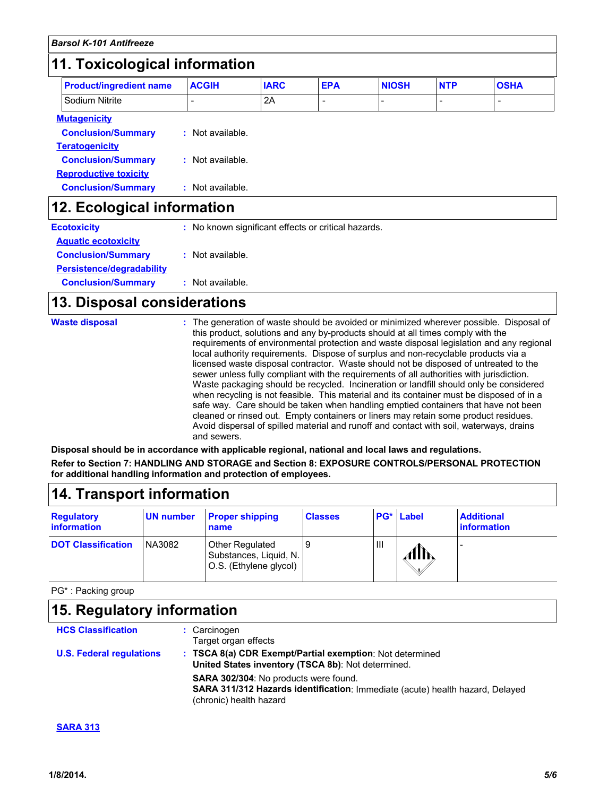# **11. Toxicological information**

| <b>Product/ingredient name</b> | <b>ACGIH</b>                                        | <b>IARC</b> | <b>EPA</b> | <b>NIOSH</b> | <b>NTP</b> | <b>OSHA</b> |
|--------------------------------|-----------------------------------------------------|-------------|------------|--------------|------------|-------------|
| Sodium Nitrite                 |                                                     | 2A          |            |              |            |             |
| <b>Mutagenicity</b>            |                                                     |             |            |              |            |             |
| <b>Conclusion/Summary</b>      | : Not available.                                    |             |            |              |            |             |
| <b>Teratogenicity</b>          |                                                     |             |            |              |            |             |
| <b>Conclusion/Summary</b>      | : Not available.                                    |             |            |              |            |             |
| <b>Reproductive toxicity</b>   |                                                     |             |            |              |            |             |
| <b>Conclusion/Summary</b>      | : Not available.                                    |             |            |              |            |             |
| 12. Ecological information     |                                                     |             |            |              |            |             |
| <b>Ecotoxicity</b>             | : No known significant effects or critical hazards. |             |            |              |            |             |

| <b>ECOLOXICITY</b>         | : NO KNOWN SIGNIFICANT BIJECTS OF CHUCAL NA |
|----------------------------|---------------------------------------------|
| <b>Aquatic ecotoxicity</b> |                                             |
| <b>Conclusion/Summary</b>  | : Not available.                            |
| Persistence/degradability  |                                             |
| <b>Conclusion/Summary</b>  | : Not available.                            |

## **13. Disposal considerations**

| <b>Waste disposal</b> | : The generation of waste should be avoided or minimized wherever possible. Disposal of<br>this product, solutions and any by-products should at all times comply with the<br>requirements of environmental protection and waste disposal legislation and any regional<br>local authority requirements. Dispose of surplus and non-recyclable products via a<br>licensed waste disposal contractor. Waste should not be disposed of untreated to the<br>sewer unless fully compliant with the requirements of all authorities with jurisdiction.<br>Waste packaging should be recycled. Incineration or landfill should only be considered<br>when recycling is not feasible. This material and its container must be disposed of in a<br>safe way. Care should be taken when handling emptied containers that have not been<br>cleaned or rinsed out. Empty containers or liners may retain some product residues.<br>Avoid dispersal of spilled material and runoff and contact with soil, waterways, drains<br>and sewers. |
|-----------------------|-------------------------------------------------------------------------------------------------------------------------------------------------------------------------------------------------------------------------------------------------------------------------------------------------------------------------------------------------------------------------------------------------------------------------------------------------------------------------------------------------------------------------------------------------------------------------------------------------------------------------------------------------------------------------------------------------------------------------------------------------------------------------------------------------------------------------------------------------------------------------------------------------------------------------------------------------------------------------------------------------------------------------------|
|-----------------------|-------------------------------------------------------------------------------------------------------------------------------------------------------------------------------------------------------------------------------------------------------------------------------------------------------------------------------------------------------------------------------------------------------------------------------------------------------------------------------------------------------------------------------------------------------------------------------------------------------------------------------------------------------------------------------------------------------------------------------------------------------------------------------------------------------------------------------------------------------------------------------------------------------------------------------------------------------------------------------------------------------------------------------|

**Disposal should be in accordance with applicable regional, national and local laws and regulations. Refer to Section 7: HANDLING AND STORAGE and Section 8: EXPOSURE CONTROLS/PERSONAL PROTECTION for additional handling information and protection of employees.**

| 14. Transport information               |                  |                                                                     |                |   |           |                                         |
|-----------------------------------------|------------------|---------------------------------------------------------------------|----------------|---|-----------|-----------------------------------------|
| <b>Regulatory</b><br><i>information</i> | <b>UN number</b> | <b>Proper shipping</b><br>name                                      | <b>Classes</b> |   | PG* Label | <b>Additional</b><br><i>information</i> |
| <b>DOT Classification</b>               | NA3082           | Other Regulated<br>Substances, Liquid, N.<br>O.S. (Ethylene glycol) | 9              | Ш | Alħ       |                                         |

PG\* : Packing group

| 15. Regulatory information      |                                                                                                                                                   |  |  |  |
|---------------------------------|---------------------------------------------------------------------------------------------------------------------------------------------------|--|--|--|
| <b>HCS Classification</b>       | : Carcinogen<br>Target organ effects                                                                                                              |  |  |  |
| <b>U.S. Federal regulations</b> | : TSCA 8(a) CDR Exempt/Partial exemption: Not determined<br>United States inventory (TSCA 8b): Not determined.                                    |  |  |  |
|                                 | SARA 302/304: No products were found.<br>SARA 311/312 Hazards identification: Immediate (acute) health hazard, Delayed<br>(chronic) health hazard |  |  |  |

#### **SARA 313**